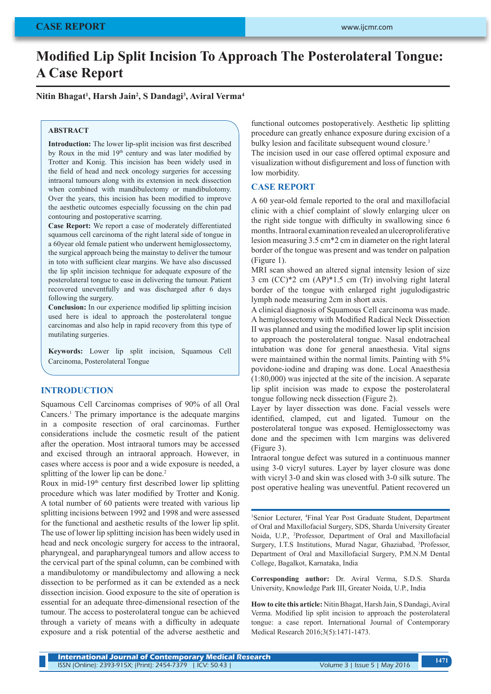# **Modified Lip Split Incision To Approach The Posterolateral Tongue: A Case Report**

**Nitin Bhagat<sup>1</sup> , Harsh Jain<sup>2</sup> , S Dandagi<sup>3</sup> , Aviral Verma<sup>4</sup>**

### **ABSTRACT**

**Introduction:** The lower lip-split incision was first described by Roux in the mid 19<sup>th</sup> century and was later modified by Trotter and Konig. This incision has been widely used in the field of head and neck oncology surgeries for accessing intraoral tumours along with its extension in neck dissection when combined with mandibulectomy or mandibulotomy. Over the years, this incision has been modified to improve the aesthetic outcomes especially focussing on the chin pad contouring and postoperative scarring.

**Case Report:** We report a case of moderately differentiated squamous cell carcinoma of the right lateral side of tongue in a 60year old female patient who underwent hemiglossectomy, the surgical approach being the mainstay to deliver the tumour in toto with sufficient clear margins. We have also discussed the lip split incision technique for adequate exposure of the posterolateral tongue to ease in delivering the tumour. Patient recovered uneventfully and was discharged after 6 days following the surgery.

**Conclusion:** In our experience modified lip splitting incision used here is ideal to approach the posterolateral tongue carcinomas and also help in rapid recovery from this type of mutilating surgeries.

**Keywords:** Lower lip split incision, Squamous Cell Carcinoma, Posterolateral Tongue

### **INTRODUCTION**

Squamous Cell Carcinomas comprises of 90% of all Oral Cancers.<sup>1</sup> The primary importance is the adequate margins in a composite resection of oral carcinomas. Further considerations include the cosmetic result of the patient after the operation. Most intraoral tumors may be accessed and excised through an intraoral approach. However, in cases where access is poor and a wide exposure is needed, a splitting of the lower lip can be done.<sup>2</sup>

Roux in mid-19th century first described lower lip splitting procedure which was later modified by Trotter and Konig. A total number of 60 patients were treated with various lip splitting incisions between 1992 and 1998 and were assessed for the functional and aesthetic results of the lower lip split. The use of lower lip splitting incision has been widely used in head and neck oncologic surgery for access to the intraoral, pharyngeal, and parapharyngeal tumors and allow access to the cervical part of the spinal column, can be combined with a mandibulotomy or mandibulectomy and allowing a neck dissection to be performed as it can be extended as a neck dissection incision. Good exposure to the site of operation is essential for an adequate three-dimensional resection of the tumour. The access to posterolateral tongue can be achieved through a variety of means with a difficulty in adequate exposure and a risk potential of the adverse aesthetic and

functional outcomes postoperatively. Aesthetic lip splitting procedure can greatly enhance exposure during excision of a bulky lesion and facilitate subsequent wound closure.<sup>3</sup>

The incision used in our case offered optimal exposure and visualization without disfigurement and loss of function with low morbidity.

#### **CASE REPORT**

A 60 year-old female reported to the oral and maxillofacial clinic with a chief complaint of slowly enlarging ulcer on the right side tongue with difficulty in swallowing since 6 months. Intraoral examination revealed an ulceroproliferative lesion measuring 3.5 cm\*2 cm in diameter on the right lateral border of the tongue was present and was tender on palpation (Figure 1).

MRI scan showed an altered signal intensity lesion of size 3 cm (CC)\*2 cm (AP)\*1.5 cm (Tr) involving right lateral border of the tongue with enlarged right jugulodigastric lymph node measuring 2cm in short axis.

A clinical diagnosis of Squamous Cell carcinoma was made. A hemiglossectomy with Modified Radical Neck Dissection II was planned and using the modified lower lip split incision to approach the posterolateral tongue. Nasal endotracheal intubation was done for general anaesthesia. Vital signs were maintained within the normal limits. Painting with 5% povidone-iodine and draping was done. Local Anaesthesia (1:80,000) was injected at the site of the incision. A separate lip split incision was made to expose the posterolateral tongue following neck dissection (Figure 2).

Layer by layer dissection was done. Facial vessels were identified, clamped, cut and ligated. Tumour on the posterolateral tongue was exposed. Hemiglossectomy was done and the specimen with 1cm margins was delivered (Figure 3).

Intraoral tongue defect was sutured in a continuous manner using 3-0 vicryl sutures. Layer by layer closure was done with vicryl 3-0 and skin was closed with 3-0 silk suture. The post operative healing was uneventful. Patient recovered un

1 Senior Lecturer, <sup>4</sup> Final Year Post Graduate Student, Department of Oral and Maxillofacial Surgery, SDS, Sharda University Greater Noida, U.P., <sup>2</sup> Professor, Department of Oral and Maxillofacial Surgery, I.T.S Institutions, Murad Nagar, Ghaziabad, <sup>3</sup> Professor, Department of Oral and Maxillofacial Surgery, P.M.N.M Dental College, Bagalkot, Karnataka, India

**Corresponding author:** Dr. Aviral Verma, S.D.S. Sharda University, Knowledge Park III, Greater Noida, U.P., India

**How to cite this article:** Nitin Bhagat, Harsh Jain, S Dandagi, Aviral Verma. Modified lip split incision to approach the posterolateral tongue: a case report. International Journal of Contemporary Medical Research 2016;3(5):1471-1473.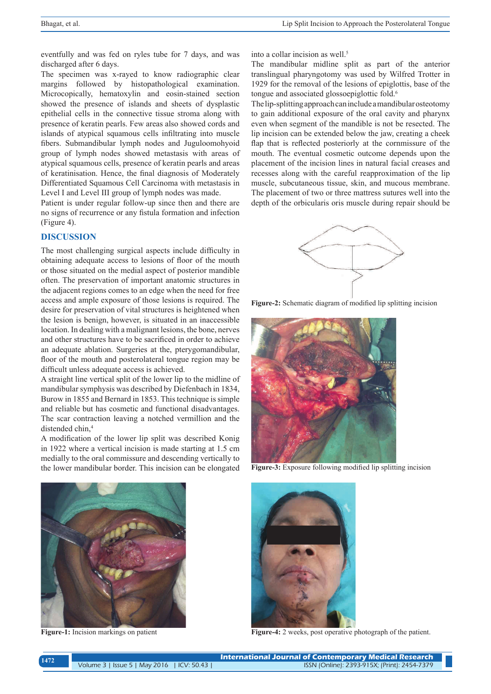eventfully and was fed on ryles tube for 7 days, and was discharged after 6 days.

The specimen was x-rayed to know radiographic clear margins followed by histopathological examination. Microcopically, hematoxylin and eosin-stained section showed the presence of islands and sheets of dysplastic epithelial cells in the connective tissue stroma along with presence of keratin pearls. Few areas also showed cords and islands of atypical squamous cells infiltrating into muscle fibers. Submandibular lymph nodes and Juguloomohyoid group of lymph nodes showed metastasis with areas of atypical squamous cells, presence of keratin pearls and areas of keratinisation. Hence, the final diagnosis of Moderately Differentiated Squamous Cell Carcinoma with metastasis in Level I and Level III group of lymph nodes was made.

Patient is under regular follow-up since then and there are no signs of recurrence or any fistula formation and infection (Figure 4).

## **DISCUSSION**

The most challenging surgical aspects include difficulty in obtaining adequate access to lesions of floor of the mouth or those situated on the medial aspect of posterior mandible often. The preservation of important anatomic structures in the adjacent regions comes to an edge when the need for free access and ample exposure of those lesions is required. The desire for preservation of vital structures is heightened when the lesion is benign, however, is situated in an inaccessible location. In dealing with a malignant lesions, the bone, nerves and other structures have to be sacrificed in order to achieve an adequate ablation. Surgeries at the, pterygomandibular, floor of the mouth and posterolateral tongue region may be difficult unless adequate access is achieved.

A straight line vertical split of the lower lip to the midline of mandibular symphysis was described by Diefenbach in 1834, Burow in 1855 and Bernard in 1853. This technique is simple and reliable but has cosmetic and functional disadvantages. The scar contraction leaving a notched vermillion and the distended chin,<sup>4</sup>

A modification of the lower lip split was described Konig in 1922 where a vertical incision is made starting at 1.5 cm medially to the oral commissure and descending vertically to the lower mandibular border. This incision can be elongated into a collar incision as well.<sup>5</sup>

The mandibular midline split as part of the anterior translingual pharyngotomy was used by Wilfred Trotter in 1929 for the removal of the lesions of epiglottis, base of the tongue and associated glossoepiglottic fold.<sup>6</sup>

The lip-splitting approach can include a mandibular osteotomy to gain additional exposure of the oral cavity and pharynx even when segment of the mandible is not be resected. The lip incision can be extended below the jaw, creating a cheek flap that is reflected posteriorly at the cornmissure of the mouth. The eventual cosmetic outcome depends upon the placement of the incision lines in natural facial creases and recesses along with the careful reapproximation of the lip muscle, subcutaneous tissue, skin, and mucous membrane. The placement of two or three mattress sutures well into the depth of the orbicularis oris muscle during repair should be



**Figure-2:** Schematic diagram of modified lip splitting incision



**Figure-3:** Exposure following modified lip splitting incision



**Figure-1:** Incision markings on patient



**Figure-4:** 2 weeks, post operative photograph of the patient.